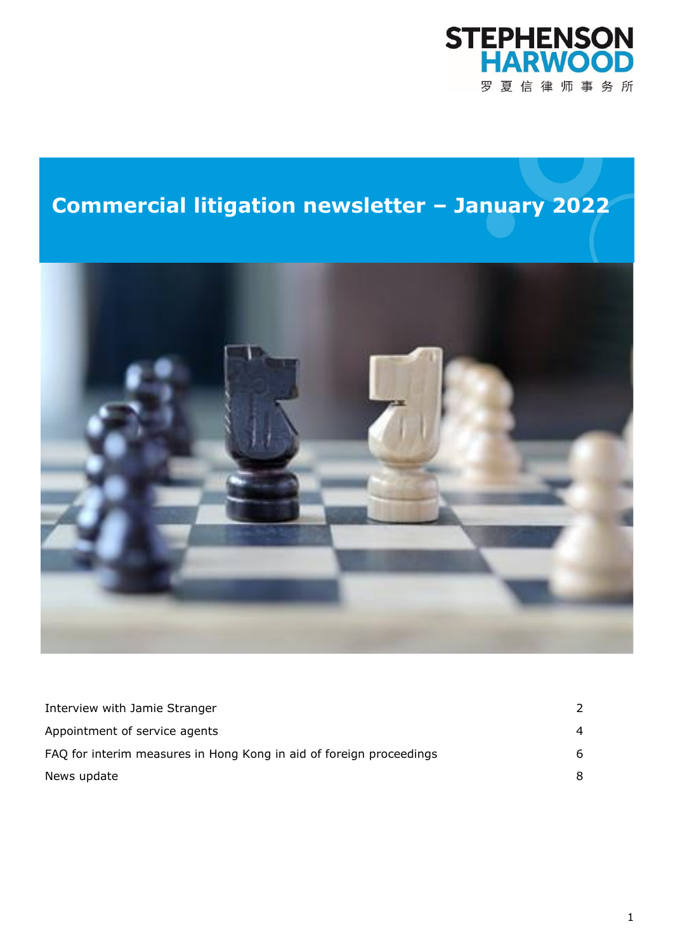# **STEPHENSON<br>HARWOOD** 罗夏信律师事务所

## **Commercial litigation newsletter – January 2022**



| Interview with Jamie Stranger                                       | $\mathcal{L}$  |
|---------------------------------------------------------------------|----------------|
| Appointment of service agents                                       | $\overline{4}$ |
| FAQ for interim measures in Hong Kong in aid of foreign proceedings | 6              |
| News update                                                         | 8              |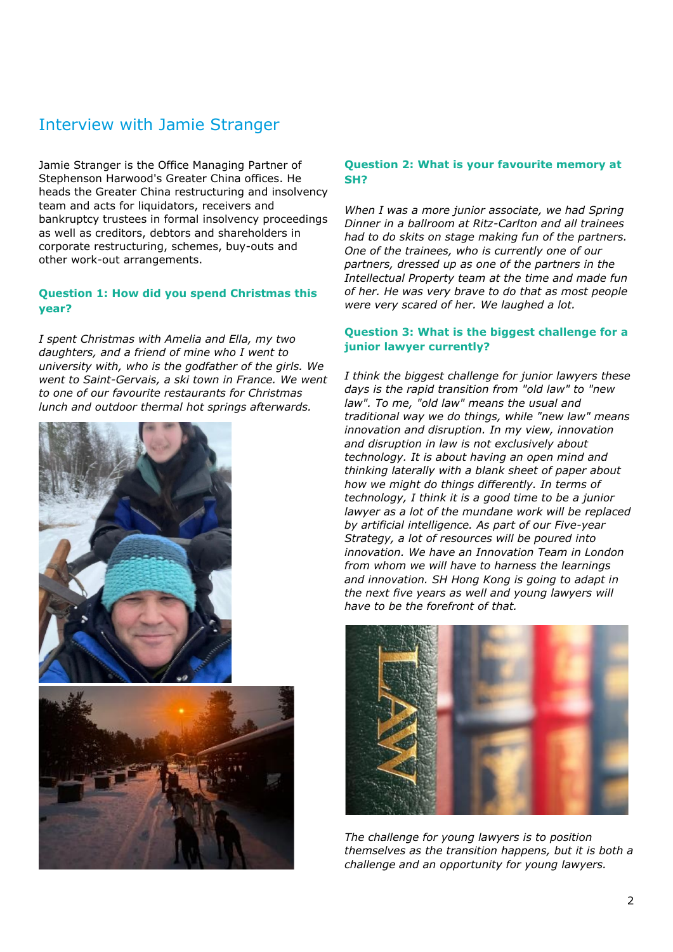## Interview with Jamie Stranger

Jamie Stranger is the Office Managing Partner of Stephenson Harwood's Greater China offices. He heads the Greater China restructuring and insolvency team and acts for liquidators, receivers and bankruptcy trustees in formal insolvency proceedings as well as creditors, debtors and shareholders in corporate restructuring, schemes, buy-outs and other work-out arrangements.

#### **Question 1: How did you spend Christmas this year?**

*I spent Christmas with Amelia and Ella, my two daughters, and a friend of mine who I went to university with, who is the godfather of the girls. We went to Saint-Gervais, a ski town in France. We went to one of our favourite restaurants for Christmas lunch and outdoor thermal hot springs afterwards.*





#### **Question 2: What is your favourite memory at SH?**

*When I was a more junior associate, we had Spring Dinner in a ballroom at Ritz-Carlton and all trainees had to do skits on stage making fun of the partners. One of the trainees, who is currently one of our partners, dressed up as one of the partners in the Intellectual Property team at the time and made fun of her. He was very brave to do that as most people were very scared of her. We laughed a lot.*

#### **Question 3: What is the biggest challenge for a junior lawyer currently?**

*I think the biggest challenge for junior lawyers these days is the rapid transition from "old law" to "new law". To me, "old law" means the usual and traditional way we do things, while "new law" means innovation and disruption. In my view, innovation and disruption in law is not exclusively about technology. It is about having an open mind and thinking laterally with a blank sheet of paper about how we might do things differently. In terms of technology, I think it is a good time to be a junior lawyer as a lot of the mundane work will be replaced by artificial intelligence. As part of our Five-year Strategy, a lot of resources will be poured into innovation. We have an Innovation Team in London from whom we will have to harness the learnings and innovation. SH Hong Kong is going to adapt in the next five years as well and young lawyers will have to be the forefront of that.* 



*The challenge for young lawyers is to position themselves as the transition happens, but it is both a challenge and an opportunity for young lawyers.*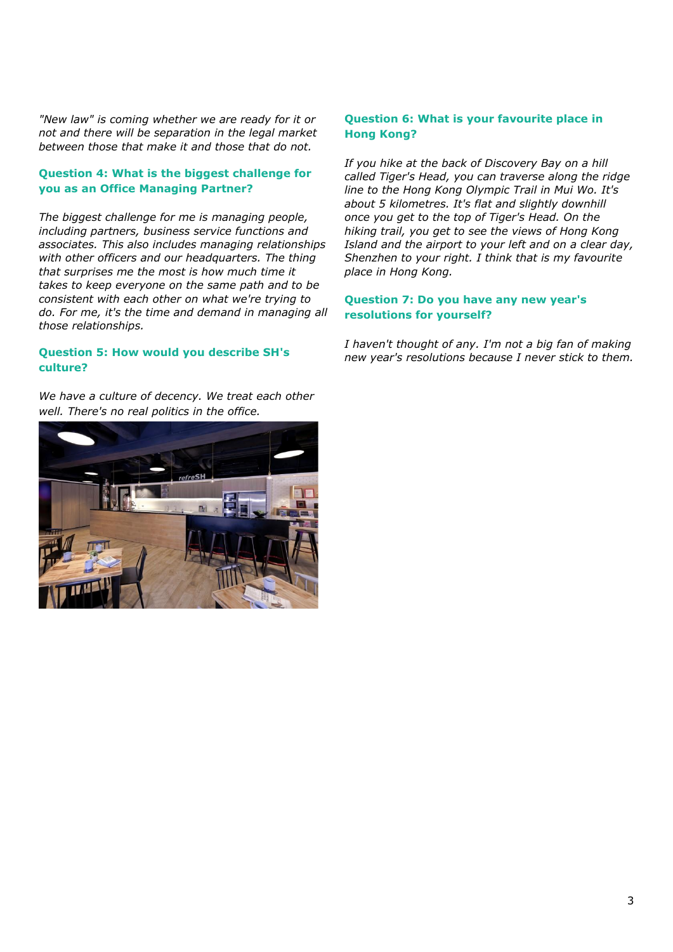*"New law" is coming whether we are ready for it or not and there will be separation in the legal market between those that make it and those that do not.*

#### **Question 4: What is the biggest challenge for you as an Office Managing Partner?**

*The biggest challenge for me is managing people, including partners, business service functions and associates. This also includes managing relationships with other officers and our headquarters. The thing that surprises me the most is how much time it takes to keep everyone on the same path and to be consistent with each other on what we're trying to do. For me, it's the time and demand in managing all those relationships.*

#### **Question 5: How would you describe SH's culture?**

*We have a culture of decency. We treat each other well. There's no real politics in the office.*



#### **Question 6: What is your favourite place in Hong Kong?**

*If you hike at the back of Discovery Bay on a hill called Tiger's Head, you can traverse along the ridge line to the Hong Kong Olympic Trail in Mui Wo. It's about 5 kilometres. It's flat and slightly downhill once you get to the top of Tiger's Head. On the hiking trail, you get to see the views of Hong Kong Island and the airport to your left and on a clear day, Shenzhen to your right. I think that is my favourite place in Hong Kong.*

#### **Question 7: Do you have any new year's resolutions for yourself?**

*I haven't thought of any. I'm not a big fan of making new year's resolutions because I never stick to them.*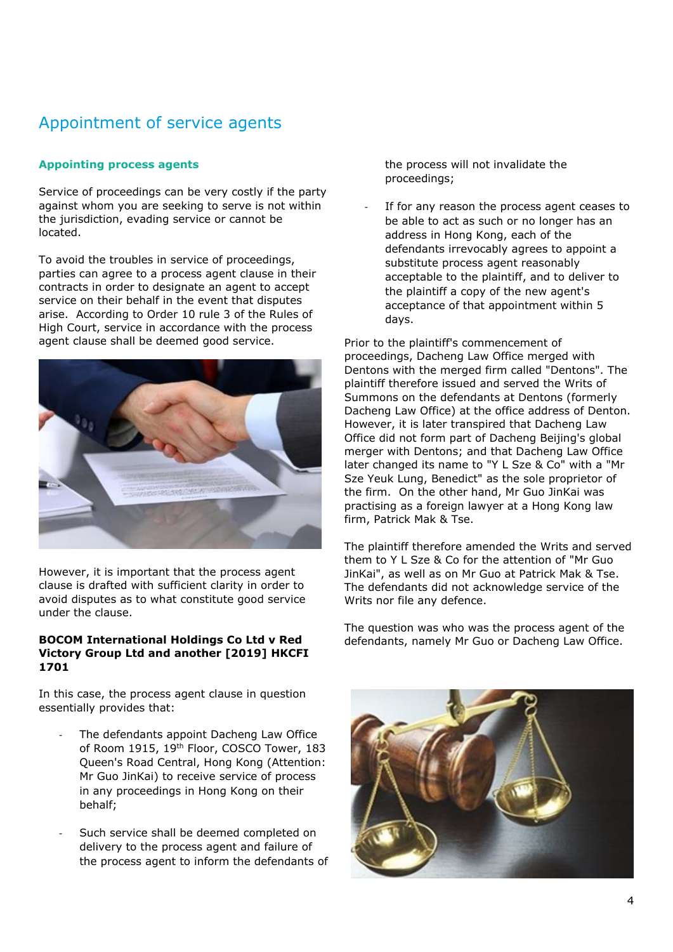## Appointment of service agents

#### **Appointing process agents**

Service of proceedings can be very costly if the party against whom you are seeking to serve is not within the jurisdiction, evading service or cannot be located.

To avoid the troubles in service of proceedings, parties can agree to a process agent clause in their contracts in order to designate an agent to accept service on their behalf in the event that disputes arise. According to Order 10 rule 3 of the Rules of High Court, service in accordance with the process agent clause shall be deemed good service.



However, it is important that the process agent clause is drafted with sufficient clarity in order to avoid disputes as to what constitute good service under the clause.

#### **BOCOM International Holdings Co Ltd v Red Victory Group Ltd and another [2019] HKCFI 1701**

In this case, the process agent clause in question essentially provides that:

- The defendants appoint Dacheng Law Office of Room 1915, 19<sup>th</sup> Floor, COSCO Tower, 183 Queen's Road Central, Hong Kong (Attention: Mr Guo JinKai) to receive service of process in any proceedings in Hong Kong on their behalf;
- Such service shall be deemed completed on delivery to the process agent and failure of the process agent to inform the defendants of

the process will not invalidate the proceedings;

If for any reason the process agent ceases to be able to act as such or no longer has an address in Hong Kong, each of the defendants irrevocably agrees to appoint a substitute process agent reasonably acceptable to the plaintiff, and to deliver to the plaintiff a copy of the new agent's acceptance of that appointment within 5 days.

Prior to the plaintiff's commencement of proceedings, Dacheng Law Office merged with Dentons with the merged firm called "Dentons". The plaintiff therefore issued and served the Writs of Summons on the defendants at Dentons (formerly Dacheng Law Office) at the office address of Denton. However, it is later transpired that Dacheng Law Office did not form part of Dacheng Beijing's global merger with Dentons; and that Dacheng Law Office later changed its name to "Y L Sze & Co" with a "Mr Sze Yeuk Lung, Benedict" as the sole proprietor of the firm. On the other hand, Mr Guo JinKai was practising as a foreign lawyer at a Hong Kong law firm, Patrick Mak & Tse.

The plaintiff therefore amended the Writs and served them to Y L Sze & Co for the attention of "Mr Guo JinKai", as well as on Mr Guo at Patrick Mak & Tse. The defendants did not acknowledge service of the Writs nor file any defence.

The question was who was the process agent of the defendants, namely Mr Guo or Dacheng Law Office.

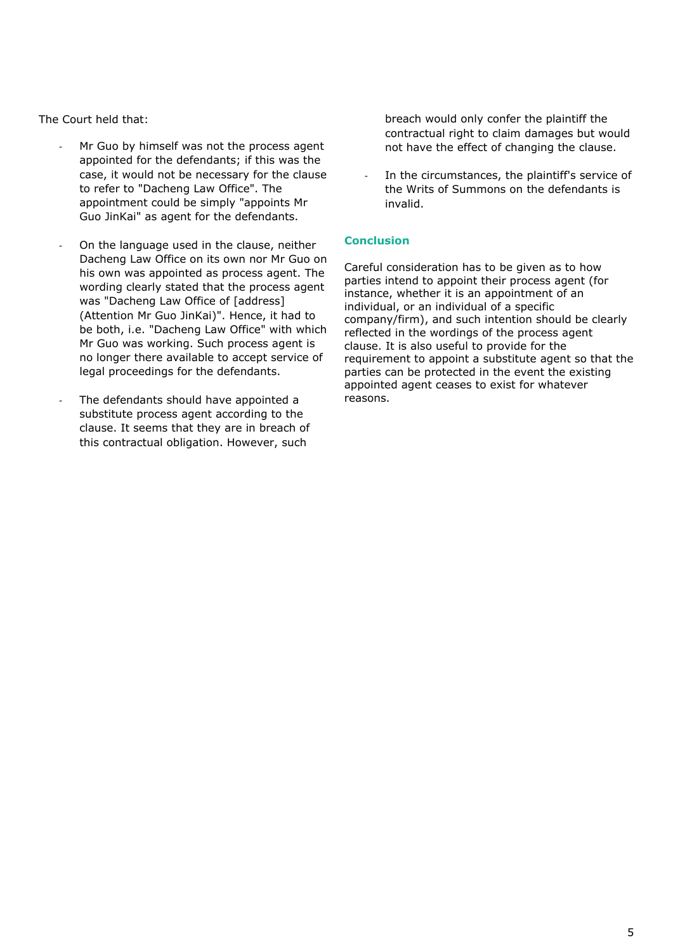The Court held that:

- Mr Guo by himself was not the process agent appointed for the defendants; if this was the case, it would not be necessary for the clause to refer to "Dacheng Law Office". The appointment could be simply "appoints Mr Guo JinKai" as agent for the defendants.
- On the language used in the clause, neither Dacheng Law Office on its own nor Mr Guo on his own was appointed as process agent. The wording clearly stated that the process agent was "Dacheng Law Office of [address] (Attention Mr Guo JinKai)". Hence, it had to be both, i.e. "Dacheng Law Office" with which Mr Guo was working. Such process agent is no longer there available to accept service of legal proceedings for the defendants.
- The defendants should have appointed a substitute process agent according to the clause. It seems that they are in breach of this contractual obligation. However, such

breach would only confer the plaintiff the contractual right to claim damages but would not have the effect of changing the clause.

In the circumstances, the plaintiff's service of the Writs of Summons on the defendants is invalid.

#### **Conclusion**

Careful consideration has to be given as to how parties intend to appoint their process agent (for instance, whether it is an appointment of an individual, or an individual of a specific company/firm), and such intention should be clearly reflected in the wordings of the process agent clause. It is also useful to provide for the requirement to appoint a substitute agent so that the parties can be protected in the event the existing appointed agent ceases to exist for whatever reasons.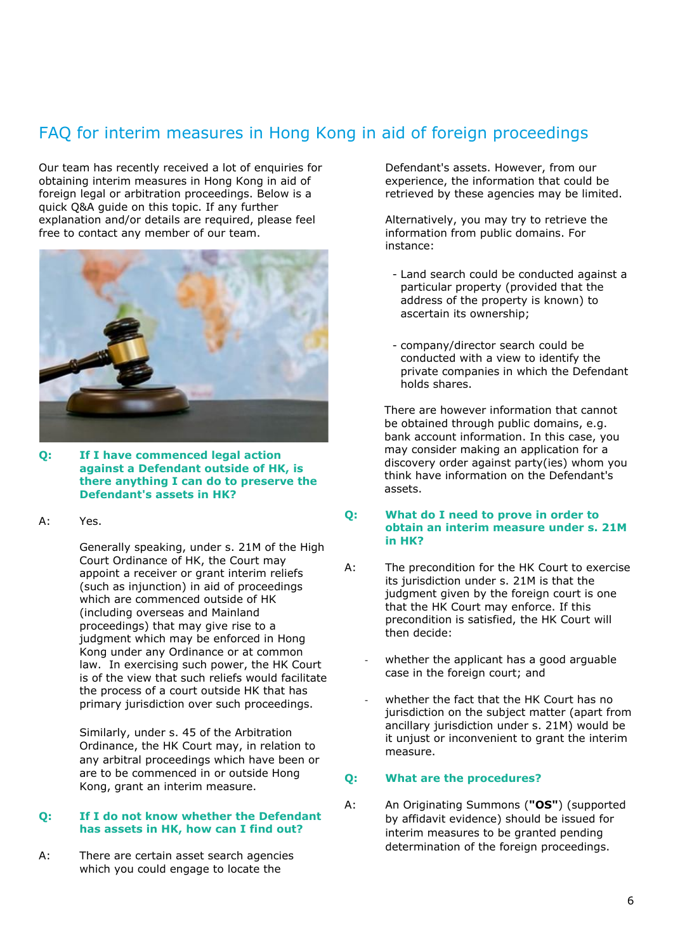## FAQ for interim measures in Hong Kong in aid of foreign proceedings

Our team has recently received a lot of enquiries for obtaining interim measures in Hong Kong in aid of foreign legal or arbitration proceedings. Below is a quick Q&A guide on this topic. If any further explanation and/or details are required, please feel free to contact any member of our team.



- **Q: If I have commenced legal action against a Defendant outside of HK, is there anything I can do to preserve the Defendant's assets in HK?**
- A: Yes.

Generally speaking, under s. 21M of the High Court Ordinance of HK, the Court may appoint a receiver or grant interim reliefs (such as injunction) in aid of proceedings which are commenced outside of HK (including overseas and Mainland proceedings) that may give rise to a judgment which may be enforced in Hong Kong under any Ordinance or at common law. In exercising such power, the HK Court is of the view that such reliefs would facilitate the process of a court outside HK that has primary jurisdiction over such proceedings.

Similarly, under s. 45 of the Arbitration Ordinance, the HK Court may, in relation to any arbitral proceedings which have been or are to be commenced in or outside Hong Kong, grant an interim measure.

#### **Q: If I do not know whether the Defendant has assets in HK, how can I find out?**

A: There are certain asset search agencies which you could engage to locate the

Defendant's assets. However, from our experience, the information that could be retrieved by these agencies may be limited.

Alternatively, you may try to retrieve the information from public domains. For instance:

- Land search could be conducted against a particular property (provided that the address of the property is known) to ascertain its ownership;
- company/director search could be conducted with a view to identify the private companies in which the Defendant holds shares.

There are however information that cannot be obtained through public domains, e.g. bank account information. In this case, you may consider making an application for a discovery order against party(ies) whom you think have information on the Defendant's assets.

#### **Q: What do I need to prove in order to obtain an interim measure under s. 21M in HK?**

- A: The precondition for the HK Court to exercise its jurisdiction under s. 21M is that the judgment given by the foreign court is one that the HK Court may enforce. If this precondition is satisfied, the HK Court will then decide:
	- whether the applicant has a good arguable case in the foreign court; and
	- whether the fact that the HK Court has no jurisdiction on the subject matter (apart from ancillary jurisdiction under s. 21M) would be it unjust or inconvenient to grant the interim measure.

#### **Q: What are the procedures?**

A: An Originating Summons (**"OS"**) (supported by affidavit evidence) should be issued for interim measures to be granted pending determination of the foreign proceedings.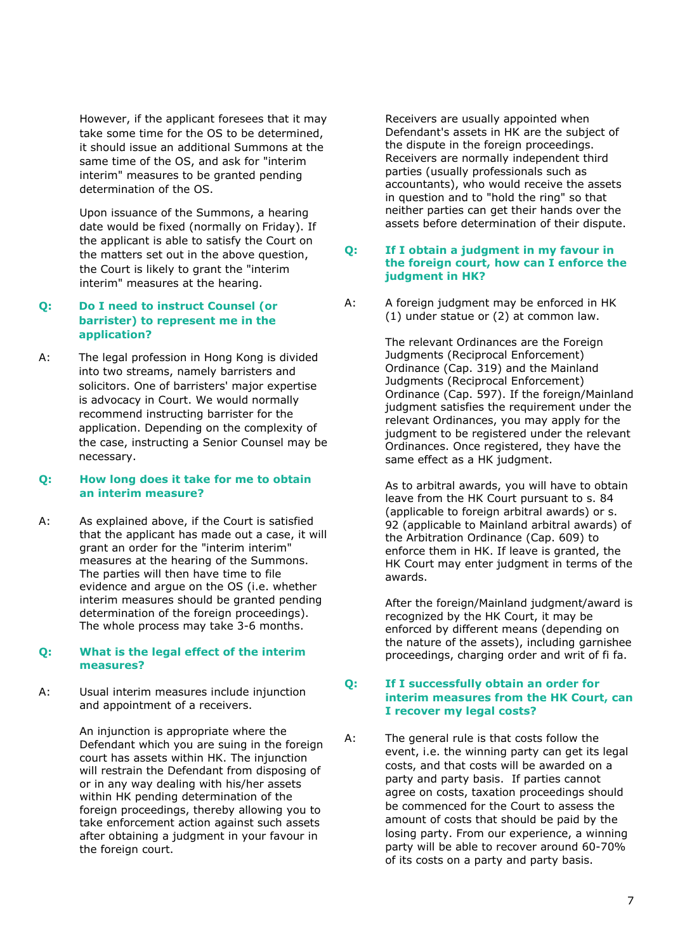However, if the applicant foresees that it may take some time for the OS to be determined, it should issue an additional Summons at the same time of the OS, and ask for "interim interim" measures to be granted pending determination of the OS.

Upon issuance of the Summons, a hearing date would be fixed (normally on Friday). If the applicant is able to satisfy the Court on the matters set out in the above question, the Court is likely to grant the "interim interim" measures at the hearing.

#### **Q: Do I need to instruct Counsel (or barrister) to represent me in the application?**

A: The legal profession in Hong Kong is divided into two streams, namely barristers and solicitors. One of barristers' major expertise is advocacy in Court. We would normally recommend instructing barrister for the application. Depending on the complexity of the case, instructing a Senior Counsel may be necessary.

#### **Q: How long does it take for me to obtain an interim measure?**

A: As explained above, if the Court is satisfied that the applicant has made out a case, it will grant an order for the "interim interim" measures at the hearing of the Summons. The parties will then have time to file evidence and argue on the OS (i.e. whether interim measures should be granted pending determination of the foreign proceedings). The whole process may take 3-6 months.

#### **Q: What is the legal effect of the interim measures?**

A: Usual interim measures include injunction and appointment of a receivers.

> An injunction is appropriate where the Defendant which you are suing in the foreign court has assets within HK. The injunction will restrain the Defendant from disposing of or in any way dealing with his/her assets within HK pending determination of the foreign proceedings, thereby allowing you to take enforcement action against such assets after obtaining a judgment in your favour in the foreign court.

Receivers are usually appointed when Defendant's assets in HK are the subject of the dispute in the foreign proceedings. Receivers are normally independent third parties (usually professionals such as accountants), who would receive the assets in question and to "hold the ring" so that neither parties can get their hands over the assets before determination of their dispute.

#### **Q: If I obtain a judgment in my favour in the foreign court, how can I enforce the judgment in HK?**

A: A foreign judgment may be enforced in HK (1) under statue or (2) at common law.

> The relevant Ordinances are the Foreign Judgments (Reciprocal Enforcement) Ordinance (Cap. 319) and the Mainland Judgments (Reciprocal Enforcement) Ordinance (Cap. 597). If the foreign/Mainland judgment satisfies the requirement under the relevant Ordinances, you may apply for the judgment to be registered under the relevant Ordinances. Once registered, they have the same effect as a HK judgment.

> As to arbitral awards, you will have to obtain leave from the HK Court pursuant to s. 84 (applicable to foreign arbitral awards) or s. 92 (applicable to Mainland arbitral awards) of the Arbitration Ordinance (Cap. 609) to enforce them in HK. If leave is granted, the HK Court may enter judgment in terms of the awards.

> After the foreign/Mainland judgment/award is recognized by the HK Court, it may be enforced by different means (depending on the nature of the assets), including garnishee proceedings, charging order and writ of fi fa.

#### **Q: If I successfully obtain an order for interim measures from the HK Court, can I recover my legal costs?**

A: The general rule is that costs follow the event, i.e. the winning party can get its legal costs, and that costs will be awarded on a party and party basis. If parties cannot agree on costs, taxation proceedings should be commenced for the Court to assess the amount of costs that should be paid by the losing party. From our experience, a winning party will be able to recover around 60-70% of its costs on a party and party basis.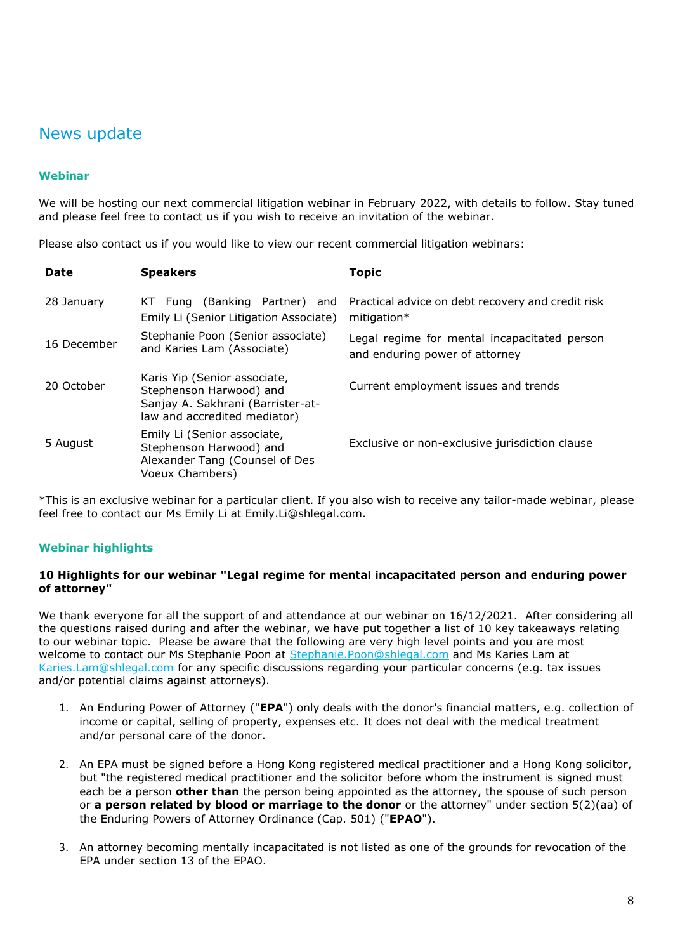## News update

#### **Webinar**

We will be hosting our next commercial litigation webinar in February 2022, with details to follow. Stay tuned and please feel free to contact us if you wish to receive an invitation of the webinar.

Please also contact us if you would like to view our recent commercial litigation webinars:

| <b>Date</b> | <b>Speakers</b>                                                                                                              | Topic                                                                          |
|-------------|------------------------------------------------------------------------------------------------------------------------------|--------------------------------------------------------------------------------|
| 28 January  | (Banking Partner) and<br>KT Fung<br>Emily Li (Senior Litigation Associate)                                                   | Practical advice on debt recovery and credit risk<br>mitigation $*$            |
| 16 December | Stephanie Poon (Senior associate)<br>and Karies Lam (Associate)                                                              | Legal regime for mental incapacitated person<br>and enduring power of attorney |
| 20 October  | Karis Yip (Senior associate,<br>Stephenson Harwood) and<br>Sanjay A. Sakhrani (Barrister-at-<br>law and accredited mediator) | Current employment issues and trends                                           |
| 5 August    | Emily Li (Senior associate,<br>Stephenson Harwood) and<br>Alexander Tang (Counsel of Des<br>Voeux Chambers)                  | Exclusive or non-exclusive jurisdiction clause                                 |

\*This is an exclusive webinar for a particular client. If you also wish to receive any tailor-made webinar, please feel free to contact our Ms Emily Li at Emily.Li@shlegal.com.

#### **Webinar highlights**

#### **10 Highlights for our webinar "Legal regime for mental incapacitated person and enduring power of attorney"**

We thank everyone for all the support of and attendance at our webinar on 16/12/2021. After considering all the questions raised during and after the webinar, we have put together a list of 10 key takeaways relating to our webinar topic. Please be aware that the following are very high level points and you are most welcome to contact our Ms Stephanie Poon at [Stephanie.Poon@shlegal.com](mailto:stephanie.poon@shlegal.com) and Ms Karies Lam at [Karies.Lam@shlegal.com](mailto:Karies.Lam@shlegal.com) for any specific discussions regarding your particular concerns (e.g. tax issues and/or potential claims against attorneys).

- 1. An Enduring Power of Attorney ("**EPA**") only deals with the donor's financial matters, e.g. collection of income or capital, selling of property, expenses etc. It does not deal with the medical treatment and/or personal care of the donor.
- 2. An EPA must be signed before a Hong Kong registered medical practitioner and a Hong Kong solicitor, but "the registered medical practitioner and the solicitor before whom the instrument is signed must each be a person **other than** the person being appointed as the attorney, the spouse of such person or **a person related by blood or marriage to the donor** or the attorney" under section 5(2)(aa) of the Enduring Powers of Attorney Ordinance (Cap. 501) ("**EPAO**").
- 3. An attorney becoming mentally incapacitated is not listed as one of the grounds for revocation of the EPA under section 13 of the EPAO.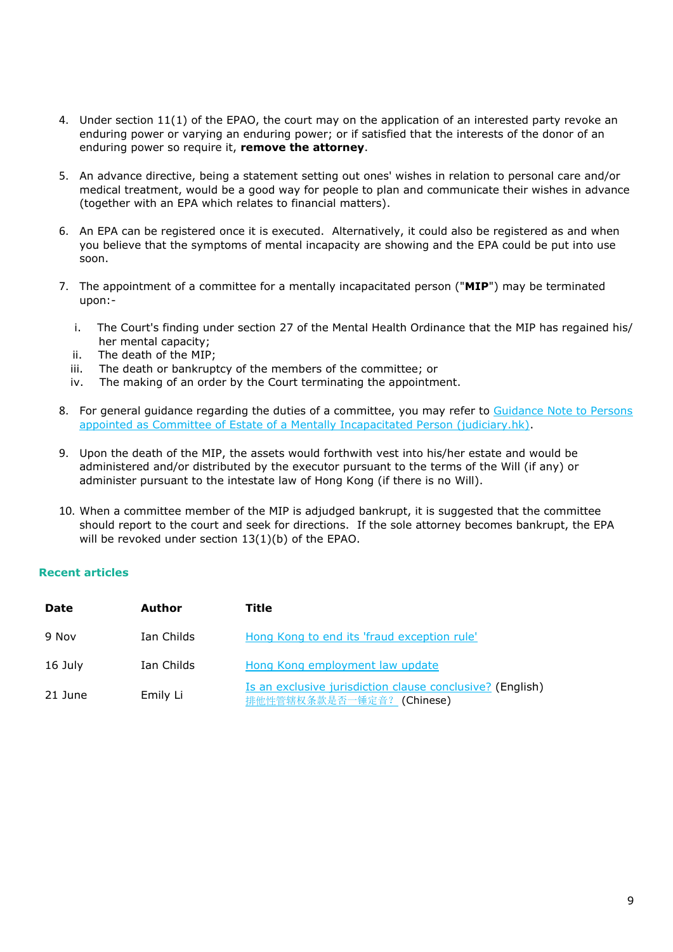- 4. Under section 11(1) of the EPAO, the court may on the application of an interested party revoke an enduring power or varying an enduring power; or if satisfied that the interests of the donor of an enduring power so require it, **remove the attorney**.
- 5. An advance directive, being a statement setting out ones' wishes in relation to personal care and/or medical treatment, would be a good way for people to plan and communicate their wishes in advance (together with an EPA which relates to financial matters).
- 6. An EPA can be registered once it is executed. Alternatively, it could also be registered as and when you believe that the symptoms of mental incapacity are showing and the EPA could be put into use soon.
- 7. The appointment of a committee for a mentally incapacitated person ("**MIP**") may be terminated upon:
	- i. The Court's finding under section 27 of the Mental Health Ordinance that the MIP has regained his/ her mental capacity;
	- ii. The death of the MIP;
	- iii. The death or bankruptcy of the members of the committee; or
	- iv. The making of an order by the Court terminating the appointment.
- 8. For general guidance regarding the duties of a committee, you may refer to [Guidance Note to Persons](https://www.judiciary.hk/doc/en/court_services_facilities/guidance_note.pdf)  [appointed as Committee of Estate of a Mentally Incapacitated Person \(judiciary.hk\).](https://www.judiciary.hk/doc/en/court_services_facilities/guidance_note.pdf)
- 9. Upon the death of the MIP, the assets would forthwith vest into his/her estate and would be administered and/or distributed by the executor pursuant to the terms of the Will (if any) or administer pursuant to the intestate law of Hong Kong (if there is no Will).
- 10. When a committee member of the MIP is adjudged bankrupt, it is suggested that the committee should report to the court and seek for directions. If the sole attorney becomes bankrupt, the EPA will be revoked under section 13(1)(b) of the EPAO.

#### **Recent articles**

| <b>Date</b> | Author     | Title                                                                                  |
|-------------|------------|----------------------------------------------------------------------------------------|
| 9 Nov       | Ian Childs | Hong Kong to end its 'fraud exception rule'                                            |
| 16 July     | Ian Childs | Hong Kong employment law update                                                        |
| 21 June     | Emily Li   | Is an exclusive jurisdiction clause conclusive? (English)<br>排他性管辖权条款是否一锤定音? (Chinese) |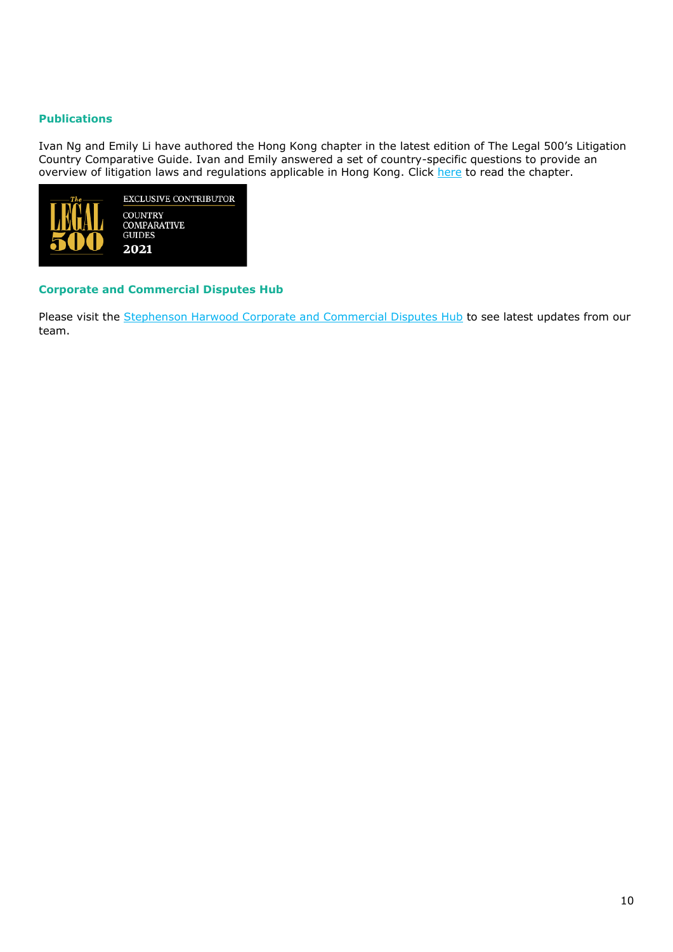#### **Publications**

Ivan Ng and Emily Li have authored the Hong Kong chapter in the latest edition of The Legal 500's Litigation Country Comparative Guide. Ivan and Emily answered a set of country-specific questions to provide an overview of litigation laws and regulations applicable in Hong Kong. Click [here](https://protect-eu.mimecast.com/s/MNfUCJZqNFgQm2KcGNVuw?domain=legal500.com/) to read the chapter.



#### **Corporate and Commercial Disputes Hub**

Please visit the [Stephenson Harwood Corporate and Commercial Disputes Hub](https://www.corporatecommercialdisputes.com/) to see latest updates from our team.